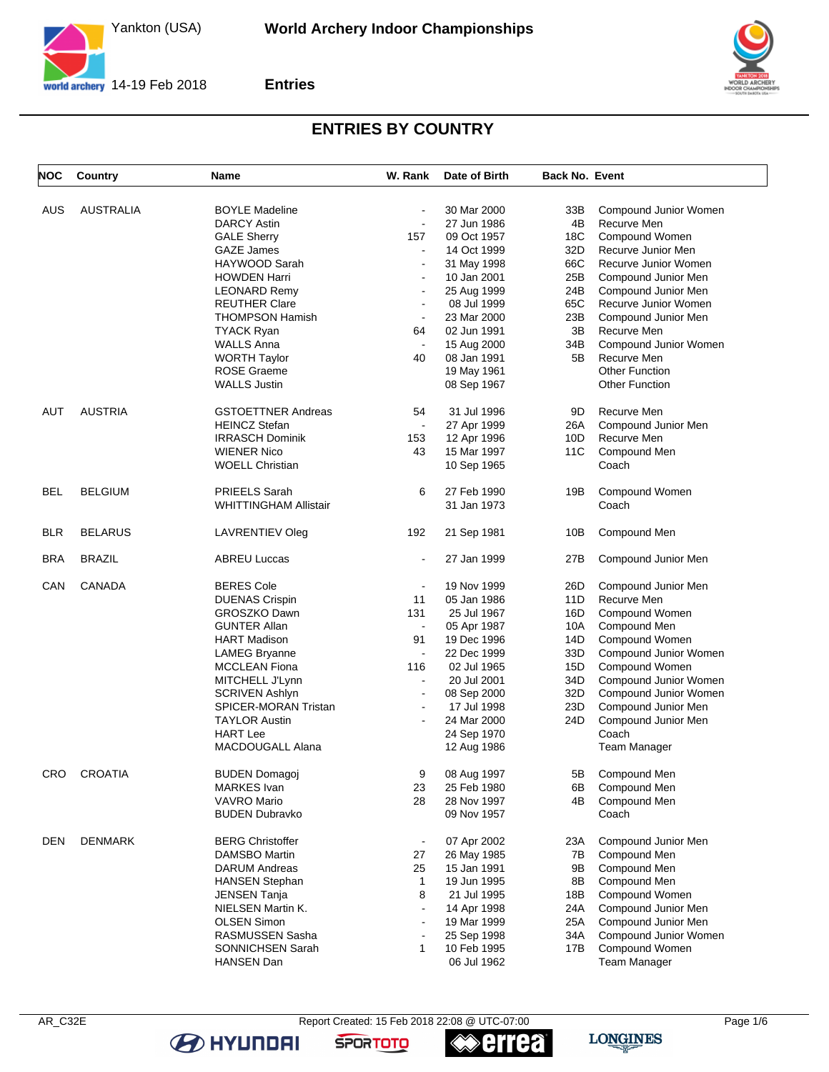

**Entries**



## **ENTRIES BY COUNTRY**

| <b>NOC</b> | Country          | Name                         | W. Rank        | Date of Birth | <b>Back No. Event</b> |                       |
|------------|------------------|------------------------------|----------------|---------------|-----------------------|-----------------------|
|            |                  |                              |                |               |                       |                       |
| AUS        | <b>AUSTRALIA</b> | <b>BOYLE Madeline</b>        | $\blacksquare$ | 30 Mar 2000   | 33B                   | Compound Junior Women |
|            |                  | <b>DARCY Astin</b>           | $\blacksquare$ | 27 Jun 1986   | 4B                    | Recurve Men           |
|            |                  | <b>GALE Sherry</b>           | 157            | 09 Oct 1957   | 18C                   | Compound Women        |
|            |                  | <b>GAZE James</b>            | $\blacksquare$ | 14 Oct 1999   | 32D                   | Recurve Junior Men    |
|            |                  | HAYWOOD Sarah                | $\overline{a}$ | 31 May 1998   | 66C                   | Recurve Junior Women  |
|            |                  | <b>HOWDEN Harri</b>          | $\blacksquare$ | 10 Jan 2001   | 25B                   | Compound Junior Men   |
|            |                  | <b>LEONARD Remy</b>          | $\blacksquare$ | 25 Aug 1999   | 24B                   | Compound Junior Men   |
|            |                  | <b>REUTHER Clare</b>         | $\overline{a}$ | 08 Jul 1999   | 65C                   | Recurve Junior Women  |
|            |                  | <b>THOMPSON Hamish</b>       |                | 23 Mar 2000   | 23B                   | Compound Junior Men   |
|            |                  | <b>TYACK Ryan</b>            | 64             | 02 Jun 1991   | 3B                    | Recurve Men           |
|            |                  | <b>WALLS Anna</b>            |                | 15 Aug 2000   | 34B                   | Compound Junior Women |
|            |                  | <b>WORTH Taylor</b>          | 40             | 08 Jan 1991   | 5B                    | Recurve Men           |
|            |                  | <b>ROSE Graeme</b>           |                | 19 May 1961   |                       | <b>Other Function</b> |
|            |                  | <b>WALLS Justin</b>          |                | 08 Sep 1967   |                       | <b>Other Function</b> |
| AUT        | <b>AUSTRIA</b>   | <b>GSTOETTNER Andreas</b>    | 54             | 31 Jul 1996   | 9D                    | Recurve Men           |
|            |                  | <b>HEINCZ Stefan</b>         | $\blacksquare$ | 27 Apr 1999   | 26A                   | Compound Junior Men   |
|            |                  | <b>IRRASCH Dominik</b>       | 153            | 12 Apr 1996   | 10D                   | Recurve Men           |
|            |                  | <b>WIENER Nico</b>           | 43             | 15 Mar 1997   | 11C                   | Compound Men          |
|            |                  | <b>WOELL Christian</b>       |                | 10 Sep 1965   |                       | Coach                 |
| <b>BEL</b> | <b>BELGIUM</b>   | PRIEELS Sarah                | 6              | 27 Feb 1990   | 19B                   | Compound Women        |
|            |                  | <b>WHITTINGHAM Allistair</b> |                | 31 Jan 1973   |                       | Coach                 |
| <b>BLR</b> | <b>BELARUS</b>   | LAVRENTIEV Oleg              | 192            | 21 Sep 1981   | 10B                   | Compound Men          |
| BRA        | <b>BRAZIL</b>    | <b>ABREU Luccas</b>          | $\blacksquare$ | 27 Jan 1999   | 27B                   | Compound Junior Men   |
| CAN        | CANADA           | <b>BERES Cole</b>            | $\blacksquare$ | 19 Nov 1999   | 26D                   | Compound Junior Men   |
|            |                  | <b>DUENAS Crispin</b>        | 11             | 05 Jan 1986   | 11D                   | Recurve Men           |
|            |                  | GROSZKO Dawn                 | 131            | 25 Jul 1967   | 16D                   | Compound Women        |
|            |                  | <b>GUNTER Allan</b>          | $\blacksquare$ | 05 Apr 1987   | 10A                   | Compound Men          |
|            |                  | <b>HART Madison</b>          | 91             | 19 Dec 1996   | 14D                   | Compound Women        |
|            |                  | <b>LAMEG Bryanne</b>         | $\blacksquare$ | 22 Dec 1999   | 33D                   | Compound Junior Women |
|            |                  | <b>MCCLEAN Fiona</b>         | 116            | 02 Jul 1965   | 15D                   | Compound Women        |
|            |                  | MITCHELL J'Lynn              | $\blacksquare$ | 20 Jul 2001   | 34D                   | Compound Junior Women |
|            |                  | <b>SCRIVEN Ashlyn</b>        | $\overline{a}$ | 08 Sep 2000   | 32D                   | Compound Junior Women |
|            |                  | <b>SPICER-MORAN Tristan</b>  | $\overline{a}$ | 17 Jul 1998   | 23D                   | Compound Junior Men   |
|            |                  | <b>TAYLOR Austin</b>         | $\overline{a}$ | 24 Mar 2000   | 24D                   | Compound Junior Men   |
|            |                  | <b>HART Lee</b>              |                | 24 Sep 1970   |                       | Coach                 |
|            |                  | MACDOUGALL Alana             |                | 12 Aug 1986   |                       | <b>Team Manager</b>   |
| CRO        | CROATIA          | <b>BUDEN Domagoj</b>         | 9              | 08 Aug 1997   | 5B                    | Compound Men          |
|            |                  | MARKES Ivan                  | 23             | 25 Feb 1980   | 6В                    | Compound Men          |
|            |                  | <b>VAVRO Mario</b>           | 28             | 28 Nov 1997   | 4B                    | Compound Men          |
|            |                  | <b>BUDEN Dubravko</b>        |                | 09 Nov 1957   |                       | Coach                 |
| <b>DEN</b> | <b>DENMARK</b>   | <b>BERG Christoffer</b>      | $\blacksquare$ | 07 Apr 2002   | 23A                   | Compound Junior Men   |
|            |                  | DAMSBO Martin                | 27             | 26 May 1985   | 7В                    | Compound Men          |
|            |                  | <b>DARUM Andreas</b>         | 25             | 15 Jan 1991   | 9Β                    | Compound Men          |
|            |                  | HANSEN Stephan               | $\mathbf{1}$   | 19 Jun 1995   | 8B                    | Compound Men          |
|            |                  | <b>JENSEN Tanja</b>          | 8              | 21 Jul 1995   | 18B                   | Compound Women        |
|            |                  | NIELSEN Martin K.            | $\overline{a}$ | 14 Apr 1998   | 24A                   | Compound Junior Men   |
|            |                  | <b>OLSEN Simon</b>           | $\overline{a}$ | 19 Mar 1999   | 25A                   | Compound Junior Men   |
|            |                  | RASMUSSEN Sasha              |                | 25 Sep 1998   | 34A                   | Compound Junior Women |
|            |                  | SONNICHSEN Sarah             | $\mathbf{1}$   | 10 Feb 1995   | 17B                   | Compound Women        |
|            |                  | HANSEN Dan                   |                | 06 Jul 1962   |                       | Team Manager          |
|            |                  |                              |                |               |                       |                       |

AR\_C32E Report Created: 15 Feb 2018 22:08 @ UTC-07:00

**errea** 

**SPORTOTO** 

**B** HYUNDAI



**LONGINES**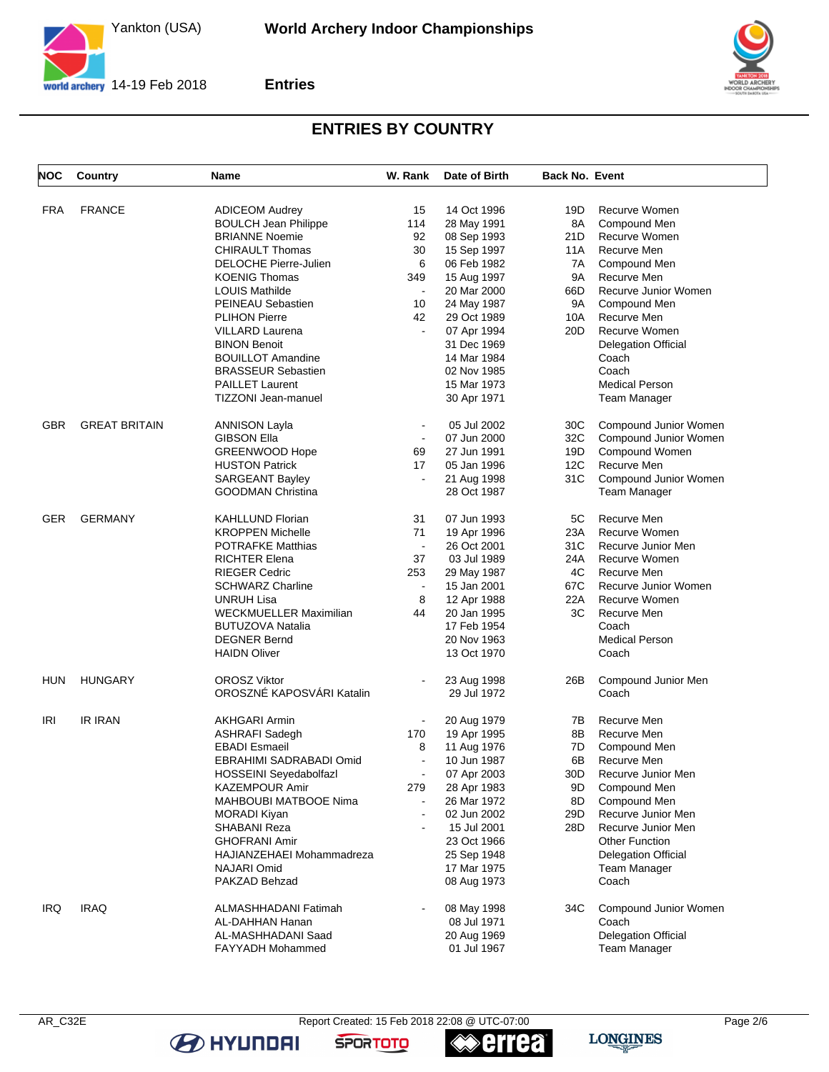

**Entries**



## **ENTRIES BY COUNTRY**

| <b>NOC</b> | Country              | Name                          | W. Rank                  | Date of Birth | <b>Back No. Event</b> |                            |
|------------|----------------------|-------------------------------|--------------------------|---------------|-----------------------|----------------------------|
| FRA        | <b>FRANCE</b>        | <b>ADICEOM Audrey</b>         | 15                       | 14 Oct 1996   | 19D                   | Recurve Women              |
|            |                      | <b>BOULCH Jean Philippe</b>   | 114                      | 28 May 1991   | 8A                    | Compound Men               |
|            |                      | <b>BRIANNE Noemie</b>         | 92                       | 08 Sep 1993   | 21 D                  | Recurve Women              |
|            |                      | <b>CHIRAULT Thomas</b>        | 30                       | 15 Sep 1997   | 11A                   | Recurve Men                |
|            |                      | <b>DELOCHE Pierre-Julien</b>  | 6                        | 06 Feb 1982   | 7A                    | Compound Men               |
|            |                      | <b>KOENIG Thomas</b>          | 349                      |               | <b>9A</b>             | Recurve Men                |
|            |                      |                               | $\blacksquare$           | 15 Aug 1997   |                       |                            |
|            |                      | <b>LOUIS Mathilde</b>         |                          | 20 Mar 2000   | 66D                   | Recurve Junior Women       |
|            |                      | PEINEAU Sebastien             | 10                       | 24 May 1987   | 9Α                    | Compound Men               |
|            |                      | <b>PLIHON Pierre</b>          | 42                       | 29 Oct 1989   | 10A                   | Recurve Men                |
|            |                      | <b>VILLARD Laurena</b>        | $\tilde{\phantom{a}}$    | 07 Apr 1994   | 20D                   | Recurve Women              |
|            |                      | <b>BINON Benoit</b>           |                          | 31 Dec 1969   |                       | <b>Delegation Official</b> |
|            |                      | <b>BOUILLOT Amandine</b>      |                          | 14 Mar 1984   |                       | Coach                      |
|            |                      | <b>BRASSEUR Sebastien</b>     |                          | 02 Nov 1985   |                       | Coach                      |
|            |                      | <b>PAILLET Laurent</b>        |                          | 15 Mar 1973   |                       | <b>Medical Person</b>      |
|            |                      | TIZZONI Jean-manuel           |                          | 30 Apr 1971   |                       | Team Manager               |
| <b>GBR</b> | <b>GREAT BRITAIN</b> | <b>ANNISON Layla</b>          | $\overline{\phantom{a}}$ | 05 Jul 2002   | 30C                   | Compound Junior Women      |
|            |                      | <b>GIBSON Ella</b>            |                          | 07 Jun 2000   | 32C                   | Compound Junior Women      |
|            |                      | <b>GREENWOOD Hope</b>         | 69                       | 27 Jun 1991   | 19D                   | Compound Women             |
|            |                      | <b>HUSTON Patrick</b>         | 17                       | 05 Jan 1996   | 12C                   | Recurve Men                |
|            |                      | <b>SARGEANT Bayley</b>        |                          | 21 Aug 1998   | 31C                   | Compound Junior Women      |
|            |                      | <b>GOODMAN Christina</b>      |                          | 28 Oct 1987   |                       | Team Manager               |
| <b>GER</b> | <b>GERMANY</b>       | <b>KAHLLUND Florian</b>       | 31                       | 07 Jun 1993   | 5C                    | Recurve Men                |
|            |                      | <b>KROPPEN Michelle</b>       | 71                       | 19 Apr 1996   | 23A                   | Recurve Women              |
|            |                      | <b>POTRAFKE Matthias</b>      | $\sim$                   | 26 Oct 2001   | 31C                   | Recurve Junior Men         |
|            |                      | <b>RICHTER Elena</b>          | 37                       | 03 Jul 1989   | 24A                   | Recurve Women              |
|            |                      | <b>RIEGER Cedric</b>          | 253                      | 29 May 1987   | 4C                    | Recurve Men                |
|            |                      | <b>SCHWARZ Charline</b>       | $\blacksquare$           | 15 Jan 2001   | 67C                   | Recurve Junior Women       |
|            |                      | UNRUH Lisa                    | 8                        | 12 Apr 1988   | 22A                   | Recurve Women              |
|            |                      | <b>WECKMUELLER Maximilian</b> | 44                       | 20 Jan 1995   | 3C                    | Recurve Men                |
|            |                      | <b>BUTUZOVA Natalia</b>       |                          | 17 Feb 1954   |                       | Coach                      |
|            |                      | <b>DEGNER Bernd</b>           |                          | 20 Nov 1963   |                       | <b>Medical Person</b>      |
|            |                      | <b>HAIDN Oliver</b>           |                          | 13 Oct 1970   |                       | Coach                      |
| HUN        | <b>HUNGARY</b>       | OROSZ Viktor                  |                          | 23 Aug 1998   | 26B                   | Compound Junior Men        |
|            |                      | OROSZNÉ KAPOSVÁRI Katalin     |                          | 29 Jul 1972   |                       | Coach                      |
| <b>IRI</b> | <b>IR IRAN</b>       | <b>AKHGARI Armin</b>          |                          | 20 Aug 1979   | 7B                    | Recurve Men                |
|            |                      | <b>ASHRAFI Sadegh</b>         | 170                      | 19 Apr 1995   | 8Β                    | Recurve Men                |
|            |                      | <b>EBADI</b> Esmaeil          | 8                        | 11 Aug 1976   | 7D                    | Compound Men               |
|            |                      | EBRAHIMI SADRABADI Omid       | $\ddot{\phantom{a}}$     | 10 Jun 1987   | 6B                    | Recurve Men                |
|            |                      | <b>HOSSEINI Seyedabolfazl</b> | $\blacksquare$           | 07 Apr 2003   | 30D                   | Recurve Junior Men         |
|            |                      | <b>KAZEMPOUR Amir</b>         | 279                      | 28 Apr 1983   | 9D                    | Compound Men               |
|            |                      | MAHBOUBI MATBOOE Nima         | $\blacksquare$           | 26 Mar 1972   | 8D                    | Compound Men               |
|            |                      | <b>MORADI Kiyan</b>           | $\overline{\phantom{a}}$ | 02 Jun 2002   | 29D                   | Recurve Junior Men         |
|            |                      | SHABANI Reza                  |                          | 15 Jul 2001   | 28D                   | Recurve Junior Men         |
|            |                      | <b>GHOFRANI Amir</b>          |                          | 23 Oct 1966   |                       | <b>Other Function</b>      |
|            |                      | HAJIANZEHAEI Mohammadreza     |                          | 25 Sep 1948   |                       | <b>Delegation Official</b> |
|            |                      | <b>NAJARI Omid</b>            |                          | 17 Mar 1975   |                       | <b>Team Manager</b>        |
|            |                      | PAKZAD Behzad                 |                          | 08 Aug 1973   |                       | Coach                      |
| <b>IRQ</b> | <b>IRAQ</b>          | ALMASHHADANI Fatimah          | $\overline{\phantom{a}}$ | 08 May 1998   | 34C                   | Compound Junior Women      |
|            |                      | AL-DAHHAN Hanan               |                          | 08 Jul 1971   |                       | Coach                      |
|            |                      | AL-MASHHADANI Saad            |                          | 20 Aug 1969   |                       | <b>Delegation Official</b> |
|            |                      | <b>FAYYADH Mohammed</b>       |                          | 01 Jul 1967   |                       | <b>Team Manager</b>        |
|            |                      |                               |                          |               |                       |                            |

AR\_C32E Report Created: 15 Feb 2018 22:08 @ UTC-07:00

**errea** 

**SPORTOTO** 

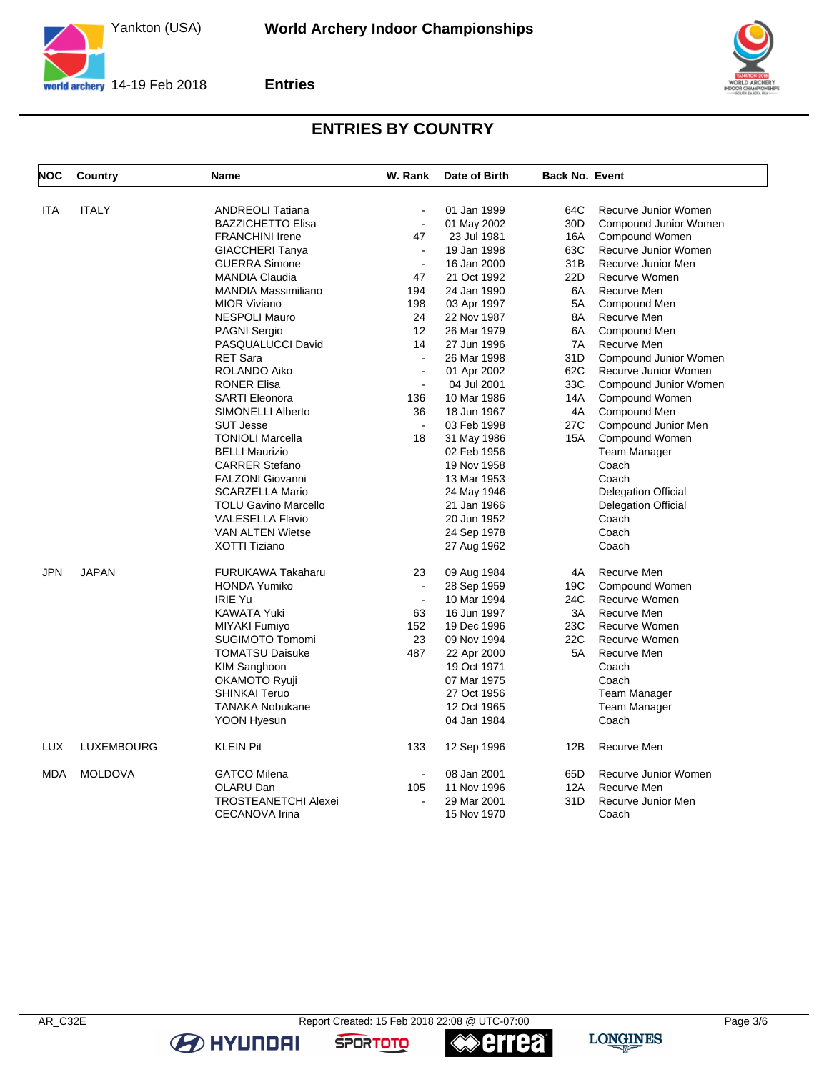

**Entries**



## **ENTRIES BY COUNTRY**

| <b>NOC</b> | Country        | <b>Name</b>                 | W. Rank        | Date of Birth | Back No. Event  |                            |
|------------|----------------|-----------------------------|----------------|---------------|-----------------|----------------------------|
| <b>ITA</b> | <b>ITALY</b>   | <b>ANDREOLI Tatiana</b>     | $\overline{a}$ | 01 Jan 1999   | 64C             | Recurve Junior Women       |
|            |                | <b>BAZZICHETTO Elisa</b>    | $\blacksquare$ | 01 May 2002   | 30 <sub>D</sub> | Compound Junior Women      |
|            |                | <b>FRANCHINI Irene</b>      | 47             | 23 Jul 1981   | 16A             | Compound Women             |
|            |                | <b>GIACCHERI Tanya</b>      | $\overline{a}$ | 19 Jan 1998   | 63C             | Recurve Junior Women       |
|            |                | <b>GUERRA Simone</b>        | $\blacksquare$ | 16 Jan 2000   | 31B             | Recurve Junior Men         |
|            |                | <b>MANDIA Claudia</b>       | 47             | 21 Oct 1992   | 22D             | Recurve Women              |
|            |                | <b>MANDIA Massimiliano</b>  | 194            | 24 Jan 1990   | 6A              | Recurve Men                |
|            |                | <b>MIOR Viviano</b>         | 198            | 03 Apr 1997   | 5A              | Compound Men               |
|            |                | <b>NESPOLI Mauro</b>        | 24             | 22 Nov 1987   | 8A              | Recurve Men                |
|            |                | <b>PAGNI Sergio</b>         | 12             | 26 Mar 1979   | 6A              | Compound Men               |
|            |                | PASQUALUCCI David           | 14             | 27 Jun 1996   | 7A              | Recurve Men                |
|            |                | <b>RET Sara</b>             | $\sim$         | 26 Mar 1998   | 31D             | Compound Junior Women      |
|            |                | ROLANDO Aiko                | $\blacksquare$ | 01 Apr 2002   | 62C             | Recurve Junior Women       |
|            |                | <b>RONER Elisa</b>          | $\blacksquare$ | 04 Jul 2001   | 33C             | Compound Junior Women      |
|            |                | <b>SARTI Eleonora</b>       | 136            | 10 Mar 1986   | 14A             | Compound Women             |
|            |                | SIMONELLI Alberto           | 36             | 18 Jun 1967   | 4A              | Compound Men               |
|            |                | <b>SUT Jesse</b>            | $\sim$         | 03 Feb 1998   | 27C             | Compound Junior Men        |
|            |                | <b>TONIOLI Marcella</b>     | 18             | 31 May 1986   | 15A             | Compound Women             |
|            |                | <b>BELLI Maurizio</b>       |                | 02 Feb 1956   |                 | <b>Team Manager</b>        |
|            |                | <b>CARRER Stefano</b>       |                | 19 Nov 1958   |                 | Coach                      |
|            |                | <b>FALZONI Giovanni</b>     |                | 13 Mar 1953   |                 | Coach                      |
|            |                | <b>SCARZELLA Mario</b>      |                | 24 May 1946   |                 | <b>Delegation Official</b> |
|            |                | <b>TOLU Gavino Marcello</b> |                | 21 Jan 1966   |                 | <b>Delegation Official</b> |
|            |                | <b>VALESELLA Flavio</b>     |                | 20 Jun 1952   |                 | Coach                      |
|            |                | <b>VAN ALTEN Wietse</b>     |                | 24 Sep 1978   |                 | Coach                      |
|            |                | XOTTI Tiziano               |                | 27 Aug 1962   |                 | Coach                      |
|            |                |                             |                |               |                 |                            |
| <b>JPN</b> | <b>JAPAN</b>   | <b>FURUKAWA Takaharu</b>    | 23             | 09 Aug 1984   | 4A              | Recurve Men                |
|            |                | <b>HONDA Yumiko</b>         | $\blacksquare$ | 28 Sep 1959   | 19C             | Compound Women             |
|            |                | <b>IRIE Yu</b>              | $\sim$         | 10 Mar 1994   | 24C             | Recurve Women              |
|            |                | KAWATA Yuki                 | 63             | 16 Jun 1997   | 3A              | Recurve Men                |
|            |                | MIYAKI Fumiyo               | 152            | 19 Dec 1996   | 23C             | Recurve Women              |
|            |                | <b>SUGIMOTO Tomomi</b>      | 23             | 09 Nov 1994   | 22C             | Recurve Women              |
|            |                | <b>TOMATSU Daisuke</b>      | 487            | 22 Apr 2000   | 5A              | Recurve Men                |
|            |                | <b>KIM Sanghoon</b>         |                | 19 Oct 1971   |                 | Coach                      |
|            |                | OKAMOTO Ryuji               |                | 07 Mar 1975   |                 | Coach                      |
|            |                | <b>SHINKAI Teruo</b>        |                | 27 Oct 1956   |                 | Team Manager               |
|            |                | TANAKA Nobukane             |                | 12 Oct 1965   |                 | Team Manager               |
|            |                | <b>YOON Hyesun</b>          |                | 04 Jan 1984   |                 | Coach                      |
| <b>LUX</b> | LUXEMBOURG     | <b>KLEIN Pit</b>            | 133            | 12 Sep 1996   | 12B             | Recurve Men                |
| <b>MDA</b> | <b>MOLDOVA</b> | <b>GATCO Milena</b>         | $\sim$         | 08 Jan 2001   | 65D             | Recurve Junior Women       |
|            |                | OLARU Dan                   | 105            | 11 Nov 1996   | 12A             | Recurve Men                |
|            |                | <b>TROSTEANETCHI Alexei</b> | $\overline{a}$ | 29 Mar 2001   | 31D             | Recurve Junior Men         |
|            |                | CECANOVA Irina              |                | 15 Nov 1970   |                 | Coach                      |

**errea** 

**SPORTOTO** 

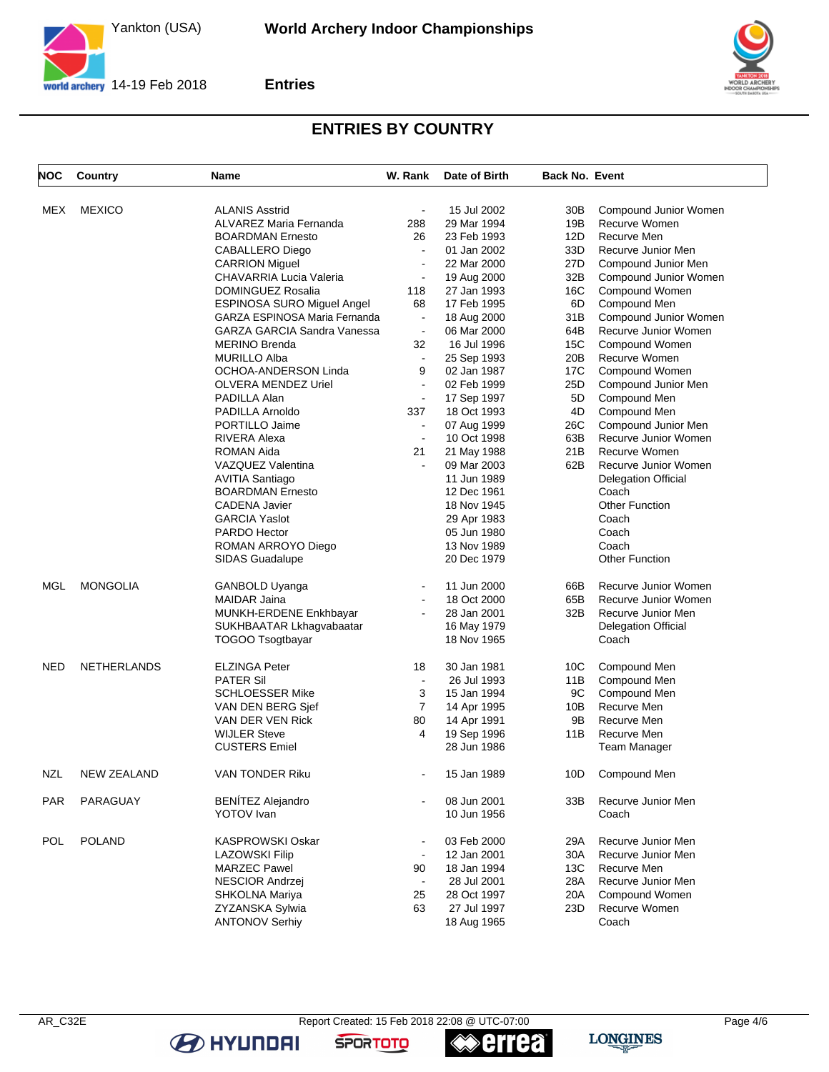

**Entries**



## **ENTRIES BY COUNTRY**

| NOC        | Country            | <b>Name</b>                        | W. Rank               | Date of Birth | <b>Back No. Event</b> |                            |
|------------|--------------------|------------------------------------|-----------------------|---------------|-----------------------|----------------------------|
| MEX        | <b>MEXICO</b>      | <b>ALANIS Asstrid</b>              | $\blacksquare$        | 15 Jul 2002   | 30B                   | Compound Junior Women      |
|            |                    | ALVAREZ Maria Fernanda             | 288                   | 29 Mar 1994   | 19B                   | Recurve Women              |
|            |                    | <b>BOARDMAN Ernesto</b>            | 26                    | 23 Feb 1993   | 12D                   | Recurve Men                |
|            |                    | CABALLERO Diego                    | $\blacksquare$        | 01 Jan 2002   | 33D                   | Recurve Junior Men         |
|            |                    | <b>CARRION Miguel</b>              | $\blacksquare$        | 22 Mar 2000   | 27D                   | Compound Junior Men        |
|            |                    | CHAVARRIA Lucia Valeria            | $\blacksquare$        | 19 Aug 2000   | 32B                   | Compound Junior Women      |
|            |                    | DOMINGUEZ Rosalia                  | 118                   | 27 Jan 1993   | 16C                   | Compound Women             |
|            |                    | <b>ESPINOSA SURO Miguel Angel</b>  | 68                    | 17 Feb 1995   | 6D                    | Compound Men               |
|            |                    | GARZA ESPINOSA Maria Fernanda      | $\blacksquare$        | 18 Aug 2000   | 31B                   | Compound Junior Women      |
|            |                    | <b>GARZA GARCIA Sandra Vanessa</b> | $\tilde{\phantom{a}}$ | 06 Mar 2000   | 64B                   | Recurve Junior Women       |
|            |                    | <b>MERINO Brenda</b>               | 32                    | 16 Jul 1996   | 15C                   | Compound Women             |
|            |                    | <b>MURILLO Alba</b>                | $\tilde{\phantom{a}}$ | 25 Sep 1993   | 20B                   | Recurve Women              |
|            |                    | OCHOA-ANDERSON Linda               | 9                     | 02 Jan 1987   | 17C                   | Compound Women             |
|            |                    | OLVERA MENDEZ Uriel                | $\blacksquare$        | 02 Feb 1999   | 25D                   | Compound Junior Men        |
|            |                    | PADILLA Alan                       | $\blacksquare$        | 17 Sep 1997   | 5D                    | Compound Men               |
|            |                    | PADILLA Arnoldo                    | 337                   | 18 Oct 1993   | 4D                    | Compound Men               |
|            |                    | PORTILLO Jaime                     | $\blacksquare$        | 07 Aug 1999   | 26C                   | Compound Junior Men        |
|            |                    | RIVERA Alexa                       | $\blacksquare$        | 10 Oct 1998   | 63B                   | Recurve Junior Women       |
|            |                    | ROMAN Aida                         | 21                    | 21 May 1988   | 21B                   | Recurve Women              |
|            |                    | VAZQUEZ Valentina                  |                       | 09 Mar 2003   | 62B                   | Recurve Junior Women       |
|            |                    | AVITIA Santiago                    |                       | 11 Jun 1989   |                       | <b>Delegation Official</b> |
|            |                    | <b>BOARDMAN Ernesto</b>            |                       | 12 Dec 1961   |                       | Coach                      |
|            |                    | <b>CADENA Javier</b>               |                       | 18 Nov 1945   |                       | <b>Other Function</b>      |
|            |                    | <b>GARCIA Yaslot</b>               |                       | 29 Apr 1983   |                       | Coach                      |
|            |                    | PARDO Hector                       |                       | 05 Jun 1980   |                       | Coach                      |
|            |                    | ROMAN ARROYO Diego                 |                       | 13 Nov 1989   |                       | Coach                      |
|            |                    | SIDAS Guadalupe                    |                       | 20 Dec 1979   |                       | <b>Other Function</b>      |
| MGL        | <b>MONGOLIA</b>    | GANBOLD Uyanga                     |                       | 11 Jun 2000   | 66B                   | Recurve Junior Women       |
|            |                    | <b>MAIDAR Jaina</b>                | $\blacksquare$        | 18 Oct 2000   | 65B                   | Recurve Junior Women       |
|            |                    | MUNKH-ERDENE Enkhbayar             | $\blacksquare$        | 28 Jan 2001   | 32B                   | Recurve Junior Men         |
|            |                    | SUKHBAATAR Lkhagvabaatar           |                       | 16 May 1979   |                       | <b>Delegation Official</b> |
|            |                    | TOGOO Tsogtbayar                   |                       | 18 Nov 1965   |                       | Coach                      |
| NED        | <b>NETHERLANDS</b> | <b>ELZINGA Peter</b>               | 18                    | 30 Jan 1981   | 10C                   | Compound Men               |
|            |                    | <b>PATER Sil</b>                   | $\blacksquare$        | 26 Jul 1993   | 11B                   | Compound Men               |
|            |                    | <b>SCHLOESSER Mike</b>             | 3                     | 15 Jan 1994   | 9C                    | Compound Men               |
|            |                    | VAN DEN BERG Sjef                  | $\overline{7}$        | 14 Apr 1995   | 10B                   | Recurve Men                |
|            |                    | VAN DER VEN Rick                   | 80                    | 14 Apr 1991   | 9Β                    | Recurve Men                |
|            |                    | <b>WIJLER Steve</b>                | 4                     | 19 Sep 1996   | 11B                   | Recurve Men                |
|            |                    | <b>CUSTERS Emiel</b>               |                       | 28 Jun 1986   |                       | <b>Team Manager</b>        |
| <b>NZL</b> | NEW ZEALAND        | VAN TONDER Riku                    |                       | 15 Jan 1989   | 10D                   | Compound Men               |
| <b>PAR</b> | PARAGUAY           | <b>BENÍTEZ Alejandro</b>           | $\sim$                | 08 Jun 2001   | 33B                   | Recurve Junior Men         |
|            |                    | <b>YOTOV</b> Ivan                  |                       | 10 Jun 1956   |                       | Coach                      |
| POL        | <b>POLAND</b>      | <b>KASPROWSKI Oskar</b>            |                       | 03 Feb 2000   | 29A                   | Recurve Junior Men         |
|            |                    | <b>LAZOWSKI Filip</b>              |                       | 12 Jan 2001   | 30A                   | Recurve Junior Men         |
|            |                    | <b>MARZEC Pawel</b>                | 90                    | 18 Jan 1994   | 13C                   | Recurve Men                |
|            |                    | <b>NESCIOR Andrzej</b>             | $\blacksquare$        | 28 Jul 2001   | 28A                   | Recurve Junior Men         |
|            |                    | SHKOLNA Mariya                     | 25                    | 28 Oct 1997   | 20A                   | Compound Women             |
|            |                    | ZYZANSKA Sylwia                    | 63                    | 27 Jul 1997   | 23D                   | Recurve Women              |
|            |                    | <b>ANTONOV Serhiy</b>              |                       | 18 Aug 1965   |                       | Coach                      |

∢

**errea** 

**SPORTOTO** 

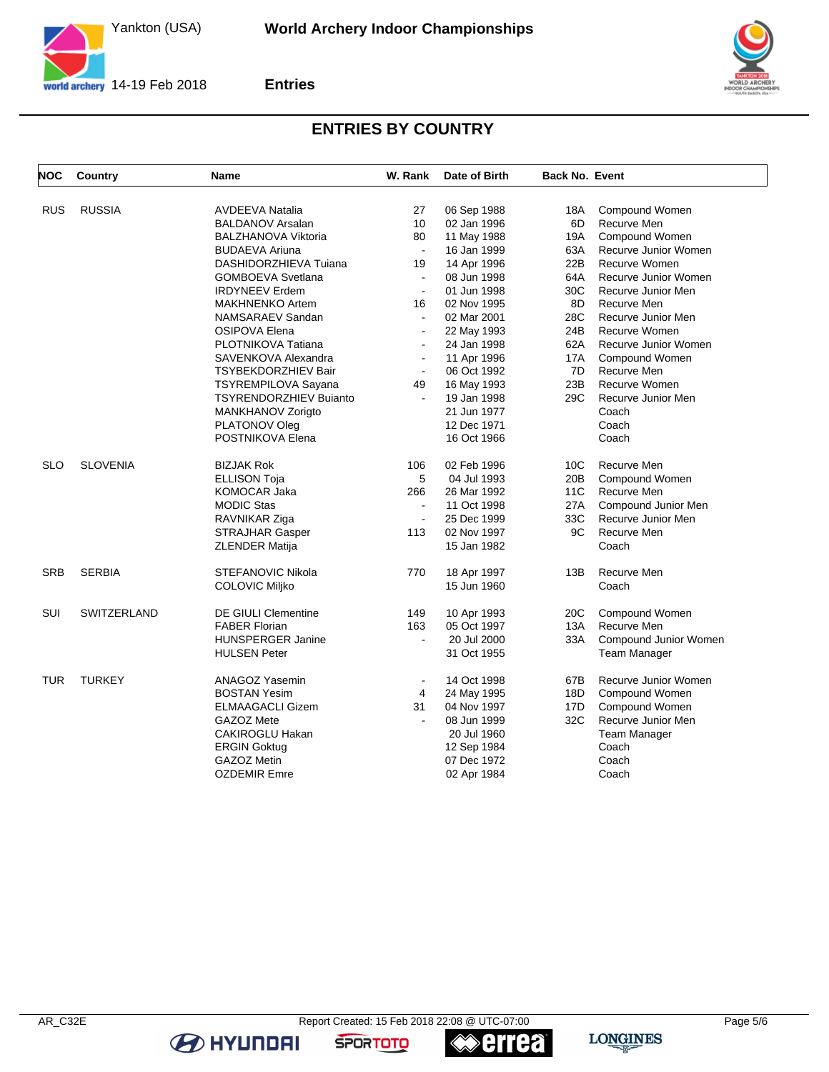

**Entries**



# **ENTRIES BY COUNTRY**

| NOC        | Country         | <b>Name</b>                   | W. Rank               | Date of Birth | <b>Back No. Event</b> |                       |
|------------|-----------------|-------------------------------|-----------------------|---------------|-----------------------|-----------------------|
|            |                 |                               |                       |               |                       |                       |
| <b>RUS</b> | <b>RUSSIA</b>   | AVDEEVA Natalia               | 27                    | 06 Sep 1988   | 18A                   | Compound Women        |
|            |                 | <b>BALDANOV Arsalan</b>       | 10                    | 02 Jan 1996   | 6D                    | Recurve Men           |
|            |                 | <b>BALZHANOVA Viktoria</b>    | 80                    | 11 May 1988   | 19A                   | Compound Women        |
|            |                 | <b>BUDAEVA Ariuna</b>         | $\sim$                | 16 Jan 1999   | 63A                   | Recurve Junior Women  |
|            |                 | DASHIDORZHIEVA Tuiana         | 19                    | 14 Apr 1996   | 22B                   | Recurve Women         |
|            |                 | <b>GOMBOEVA Svetlana</b>      | $\sim$                | 08 Jun 1998   | 64A                   | Recurve Junior Women  |
|            |                 | <b>IRDYNEEV Erdem</b>         | $\blacksquare$        | 01 Jun 1998   | 30C                   | Recurve Junior Men    |
|            |                 | <b>MAKHNENKO Artem</b>        | 16                    | 02 Nov 1995   | 8D                    | Recurve Men           |
|            |                 | NAMSARAEV Sandan              | $\blacksquare$        | 02 Mar 2001   | 28C                   | Recurve Junior Men    |
|            |                 | OSIPOVA Elena                 | ÷,                    | 22 May 1993   | 24B                   | Recurve Women         |
|            |                 | PLOTNIKOVA Tatiana            | $\sim$                | 24 Jan 1998   | 62A                   | Recurve Junior Women  |
|            |                 | SAVENKOVA Alexandra           | $\blacksquare$        | 11 Apr 1996   | 17A                   | Compound Women        |
|            |                 | TSYBEKDORZHIEV Bair           | $\blacksquare$        | 06 Oct 1992   | 7D                    | Recurve Men           |
|            |                 | <b>TSYREMPILOVA Sayana</b>    | 49                    | 16 May 1993   | 23B                   | Recurve Women         |
|            |                 | <b>TSYRENDORZHIEV Buianto</b> | $\tilde{\phantom{a}}$ | 19 Jan 1998   | 29C                   | Recurve Junior Men    |
|            |                 | MANKHANOV Zorigto             |                       | 21 Jun 1977   |                       | Coach                 |
|            |                 | PLATONOV Oleg                 |                       | 12 Dec 1971   |                       | Coach                 |
|            |                 | POSTNIKOVA Elena              |                       | 16 Oct 1966   |                       | Coach                 |
| <b>SLO</b> | <b>SLOVENIA</b> | <b>BIZJAK Rok</b>             | 106                   | 02 Feb 1996   | 10 <sup>C</sup>       | Recurve Men           |
|            |                 | <b>ELLISON Toja</b>           | 5                     | 04 Jul 1993   | 20B                   | Compound Women        |
|            |                 | KOMOCAR Jaka                  | 266                   | 26 Mar 1992   | 11C                   | Recurve Men           |
|            |                 | <b>MODIC Stas</b>             | $\tilde{\phantom{a}}$ | 11 Oct 1998   | 27A                   | Compound Junior Men   |
|            |                 | RAVNIKAR Ziga                 | $\blacksquare$        | 25 Dec 1999   | 33C                   | Recurve Junior Men    |
|            |                 | STRAJHAR Gasper               | 113                   | 02 Nov 1997   | 9C                    | Recurve Men           |
|            |                 | ZLENDER Matija                |                       | 15 Jan 1982   |                       | Coach                 |
| <b>SRB</b> | <b>SERBIA</b>   | <b>STEFANOVIC Nikola</b>      | 770                   | 18 Apr 1997   | 13B                   | Recurve Men           |
|            |                 | COLOVIC Miljko                |                       | 15 Jun 1960   |                       | Coach                 |
| SUI        | SWITZERLAND     | <b>DE GIULI Clementine</b>    | 149                   | 10 Apr 1993   | 20 <sub>C</sub>       | Compound Women        |
|            |                 | <b>FABER Florian</b>          | 163                   | 05 Oct 1997   | 13A                   | Recurve Men           |
|            |                 | <b>HUNSPERGER Janine</b>      | ÷,                    | 20 Jul 2000   | 33A                   | Compound Junior Women |
|            |                 | <b>HULSEN Peter</b>           |                       | 31 Oct 1955   |                       | <b>Team Manager</b>   |
| <b>TUR</b> | <b>TURKEY</b>   | ANAGOZ Yasemin                | $\blacksquare$        | 14 Oct 1998   | 67B                   | Recurve Junior Women  |
|            |                 | <b>BOSTAN Yesim</b>           | 4                     | 24 May 1995   | 18D                   | Compound Women        |
|            |                 | <b>ELMAAGACLI Gizem</b>       | 31                    | 04 Nov 1997   | 17D                   | Compound Women        |
|            |                 | GAZOZ Mete                    | $\sim$                | 08 Jun 1999   | 32C                   | Recurve Junior Men    |
|            |                 | CAKIROGLU Hakan               |                       | 20 Jul 1960   |                       | <b>Team Manager</b>   |
|            |                 | <b>ERGIN Goktug</b>           |                       | 12 Sep 1984   |                       | Coach                 |
|            |                 | GAZOZ Metin                   |                       | 07 Dec 1972   |                       | Coach                 |
|            |                 | <b>OZDEMIR Emre</b>           |                       | 02 Apr 1984   |                       | Coach                 |

**errea** 

**SPORTOTO**